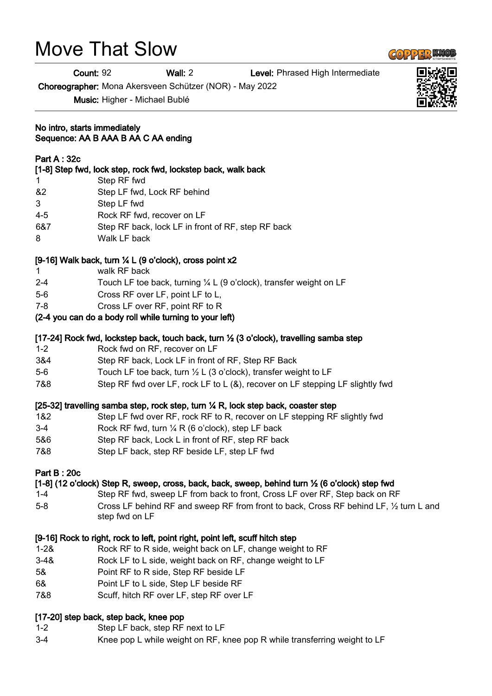# Move That Slow

Count: 92 Wall: 2 Level: Phrased High Intermediate

Choreographer: Mona Akersveen Schützer (NOR) - May 2022

Music: Higher - Michael Bublé

#### No intro, starts immediately Sequence: AA B AAA B AA C AA ending

#### Part A : 32c

#### [1-8] Step fwd, lock step, rock fwd, lockstep back, walk back

- 1 Step RF fwd
- &2 Step LF fwd, Lock RF behind
- 3 Step LF fwd
- 4-5 Rock RF fwd, recover on LF
- 6&7 Step RF back, lock LF in front of RF, step RF back
- 8 Walk LF back

# [9-16] Walk back, turn ¼ L (9 o'clock), cross point x2

- 1 walk RF back
- 2-4 Touch LF toe back, turning  $\frac{1}{4}$  L (9 o'clock), transfer weight on LF
- 5-6 Cross RF over LF, point LF to L,
- 7-8 Cross LF over RF, point RF to R

# (2-4 you can do a body roll while turning to your left)

#### [17-24] Rock fwd, lockstep back, touch back, turn ½ (3 o'clock), travelling samba step

- 1-2 Rock fwd on RF, recover on LF
- 3&4 Step RF back, Lock LF in front of RF, Step RF Back
- 5-6 Touch LF toe back, turn  $\frac{1}{2}$  L (3 o'clock), transfer weight to LF
- 7&8 Step RF fwd over LF, rock LF to L (&), recover on LF stepping LF slightly fwd

#### [25-32] travelling samba step, rock step, turn ¼ R, lock step back, coaster step

- 1&2 Step LF fwd over RF, rock RF to R, recover on LF stepping RF slightly fwd
- 3-4 Rock RF fwd, turn ¼ R (6 o'clock), step LF back
- 5&6 Step RF back, Lock L in front of RF, step RF back
- 7&8 Step LF back, step RF beside LF, step LF fwd

#### Part B : 20c

#### [1-8] (12 o'clock) Step R, sweep, cross, back, back, sweep, behind turn ½ (6 o'clock) step fwd

- 1-4 Step RF fwd, sweep LF from back to front, Cross LF over RF, Step back on RF
- 5-8 Cross LF behind RF and sweep RF from front to back, Cross RF behind LF, ½ turn L and step fwd on LF

#### [9-16] Rock to right, rock to left, point right, point left, scuff hitch step

- 1-2& Rock RF to R side, weight back on LF, change weight to RF
- 3-4& Rock LF to L side, weight back on RF, change weight to LF
- 5& Point RF to R side, Step RF beside LF
- 6& Point LF to L side, Step LF beside RF
- 7&8 Scuff, hitch RF over LF, step RF over LF

# [17-20] step back, step back, knee pop

- 1-2 Step LF back, step RF next to LF
- 3-4 Knee pop L while weight on RF, knee pop R while transferring weight to LF